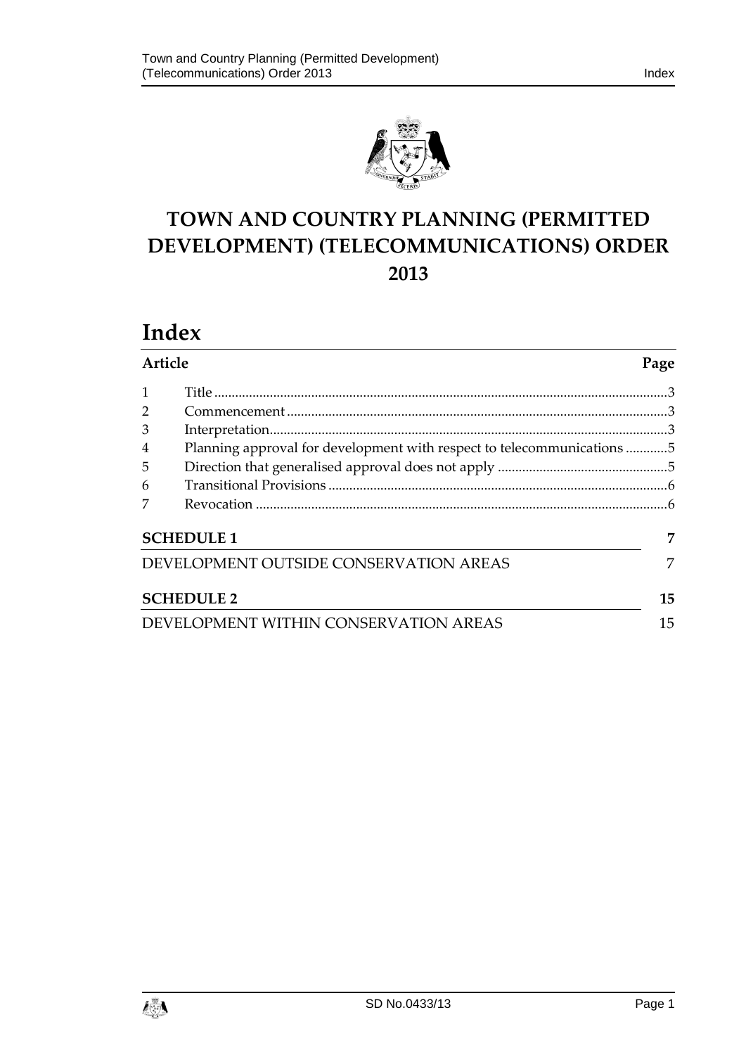

# **TOWN AND COUNTRY PLANNING (PERMITTED DEVELOPMENT) (TELECOMMUNICATIONS) ORDER 2013**

# **Index**

| Article                               |                                                                        | Page |
|---------------------------------------|------------------------------------------------------------------------|------|
|                                       |                                                                        |      |
| $\overline{2}$                        |                                                                        |      |
| 3                                     |                                                                        |      |
| $\overline{4}$                        | Planning approval for development with respect to telecommunications 5 |      |
| 5                                     |                                                                        |      |
| 6                                     |                                                                        |      |
| 7                                     |                                                                        |      |
| <b>SCHEDULE 1</b>                     |                                                                        | 7    |
|                                       | DEVELOPMENT OUTSIDE CONSERVATION AREAS                                 | 7    |
| <b>SCHEDULE 2</b>                     |                                                                        | 15   |
| DEVELOPMENT WITHIN CONSERVATION AREAS |                                                                        | 15   |

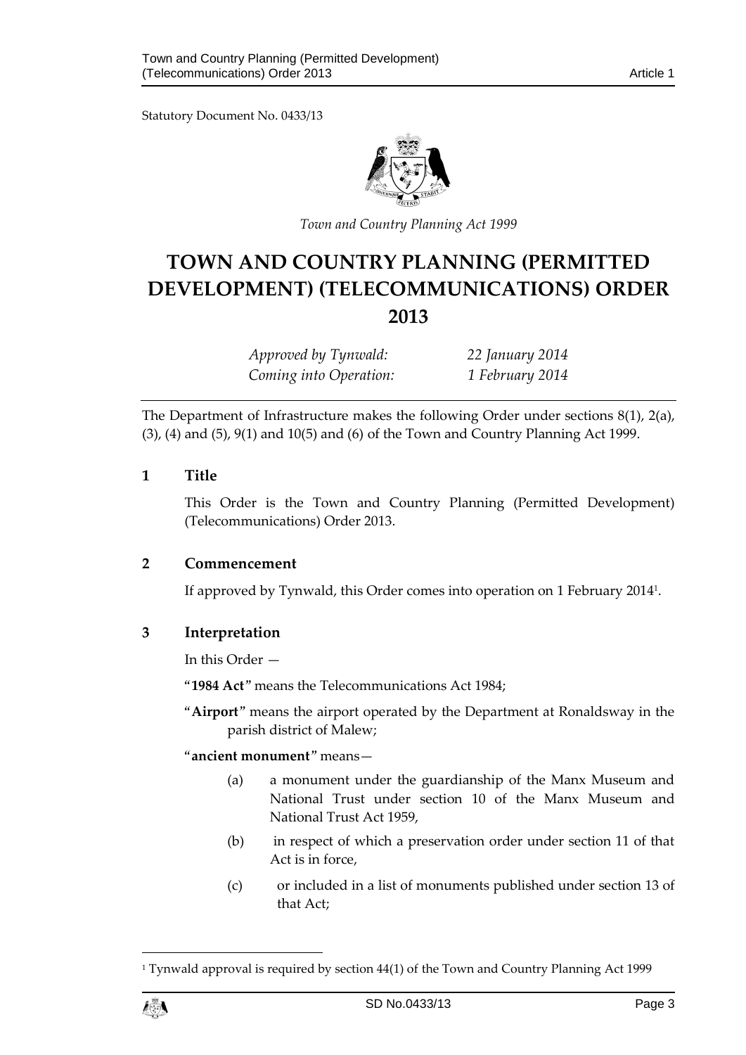Statutory Document No. 0433/13



*Town and Country Planning Act 1999*

# **TOWN AND COUNTRY PLANNING (PERMITTED DEVELOPMENT) (TELECOMMUNICATIONS) ORDER 2013**

*Approved by Tynwald: 22 January 2014 Coming into Operation: 1 February 2014*

The Department of Infrastructure makes the following Order under sections 8(1), 2(a), (3), (4) and (5), 9(1) and 10(5) and (6) of the Town and Country Planning Act 1999.

#### <span id="page-2-0"></span>**1 Title**

This Order is the Town and Country Planning (Permitted Development) (Telecommunications) Order 2013.

#### <span id="page-2-1"></span>**2 Commencement**

If approved by Tynwald, this Order comes into operation on 1 February 2014<sup>1</sup> .

#### <span id="page-2-2"></span>**3 Interpretation**

In this Order —

"**1984 Act**" means the Telecommunications Act 1984;

"**Airport**" means the airport operated by the Department at Ronaldsway in the parish district of Malew;

#### "**ancient monument**" means—

- (a) a monument under the guardianship of the Manx Museum and National Trust under section 10 of the Manx Museum and National Trust Act 1959,
- (b) in respect of which a preservation order under section 11 of that Act is in force,
- (c) or included in a list of monuments published under section 13 of that Act;

1

<sup>1</sup> Tynwald approval is required by section 44(1) of the Town and Country Planning Act 1999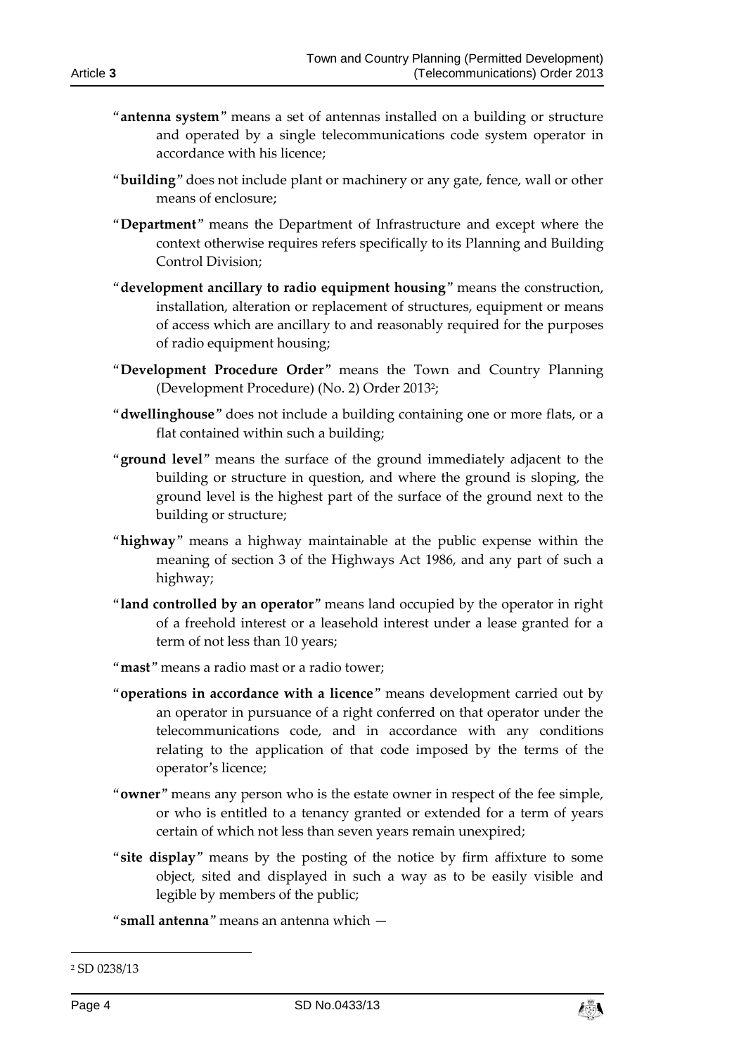- "**antenna system**" means a set of antennas installed on a building or structure and operated by a single telecommunications code system operator in accordance with his licence;
- "**building**" does not include plant or machinery or any gate, fence, wall or other means of enclosure;
- "**Department**" means the Department of Infrastructure and except where the context otherwise requires refers specifically to its Planning and Building Control Division;
- "**development ancillary to radio equipment housing**" means the construction, installation, alteration or replacement of structures, equipment or means of access which are ancillary to and reasonably required for the purposes of radio equipment housing;
- "**Development Procedure Order**" means the Town and Country Planning (Development Procedure) (No. 2) Order 2013<sup>2</sup> ;
- "**dwellinghouse**" does not include a building containing one or more flats, or a flat contained within such a building;
- "**ground level**" means the surface of the ground immediately adjacent to the building or structure in question, and where the ground is sloping, the ground level is the highest part of the surface of the ground next to the building or structure;
- "**highway**" means a highway maintainable at the public expense within the meaning of section 3 of the Highways Act 1986, and any part of such a highway;
- "**land controlled by an operator**" means land occupied by the operator in right of a freehold interest or a leasehold interest under a lease granted for a term of not less than 10 years;
- "**mast**" means a radio mast or a radio tower;
- "**operations in accordance with a licence**" means development carried out by an operator in pursuance of a right conferred on that operator under the telecommunications code, and in accordance with any conditions relating to the application of that code imposed by the terms of the operator's licence;
- "**owner**" means any person who is the estate owner in respect of the fee simple, or who is entitled to a tenancy granted or extended for a term of years certain of which not less than seven years remain unexpired;
- "**site display**" means by the posting of the notice by firm affixture to some object, sited and displayed in such a way as to be easily visible and legible by members of the public;

"**small antenna**" means an antenna which —

-



<sup>2</sup> SD 0238/13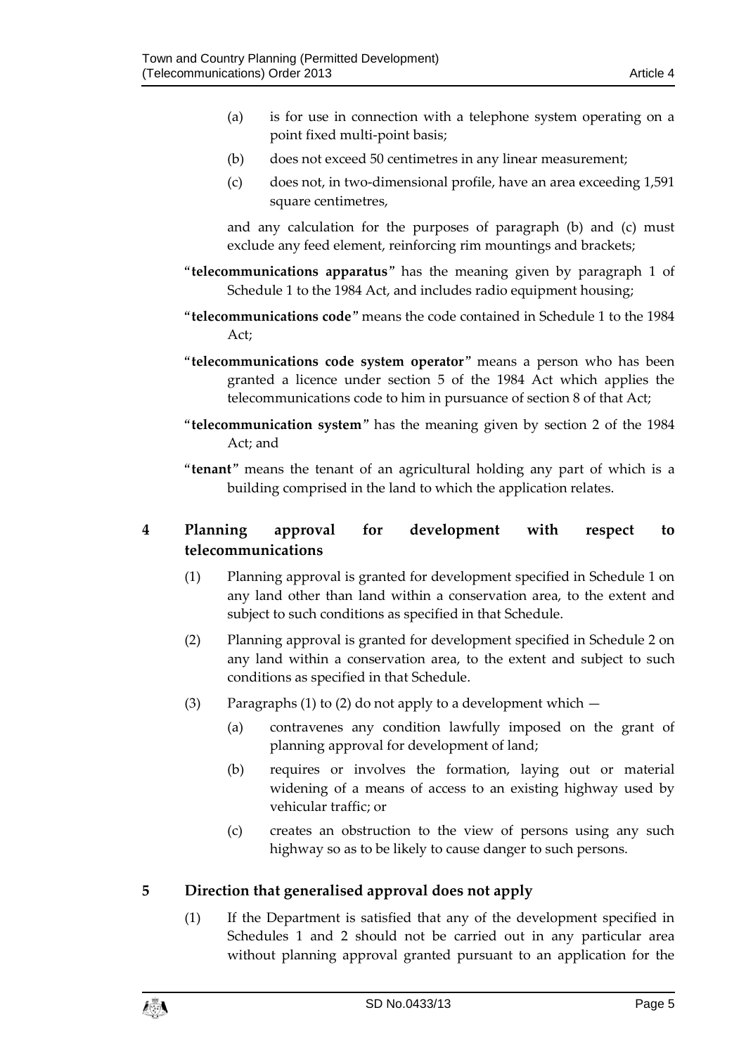- (a) is for use in connection with a telephone system operating on a point fixed multi-point basis;
- (b) does not exceed 50 centimetres in any linear measurement;
- (c) does not, in two-dimensional profile, have an area exceeding 1,591 square centimetres,

and any calculation for the purposes of paragraph (b) and (c) must exclude any feed element, reinforcing rim mountings and brackets;

- "**telecommunications apparatus**" has the meaning given by paragraph 1 of Schedule 1 to the 1984 Act, and includes radio equipment housing;
- "**telecommunications code**" means the code contained in Schedule 1 to the 1984 Act;
- "**telecommunications code system operator**" means a person who has been granted a licence under section 5 of the 1984 Act which applies the telecommunications code to him in pursuance of section 8 of that Act;
- "**telecommunication system**" has the meaning given by section 2 of the 1984 Act; and
- "**tenant**" means the tenant of an agricultural holding any part of which is a building comprised in the land to which the application relates.

# <span id="page-4-0"></span>**4 Planning approval for development with respect to telecommunications**

- (1) Planning approval is granted for development specified in Schedule 1 on any land other than land within a conservation area, to the extent and subject to such conditions as specified in that Schedule.
- (2) Planning approval is granted for development specified in Schedule 2 on any land within a conservation area, to the extent and subject to such conditions as specified in that Schedule.
- (3) Paragraphs (1) to (2) do not apply to a development which
	- (a) contravenes any condition lawfully imposed on the grant of planning approval for development of land;
	- (b) requires or involves the formation, laying out or material widening of a means of access to an existing highway used by vehicular traffic; or
	- (c) creates an obstruction to the view of persons using any such highway so as to be likely to cause danger to such persons.

# <span id="page-4-1"></span>**5 Direction that generalised approval does not apply**

(1) If the Department is satisfied that any of the development specified in Schedules 1 and 2 should not be carried out in any particular area without planning approval granted pursuant to an application for the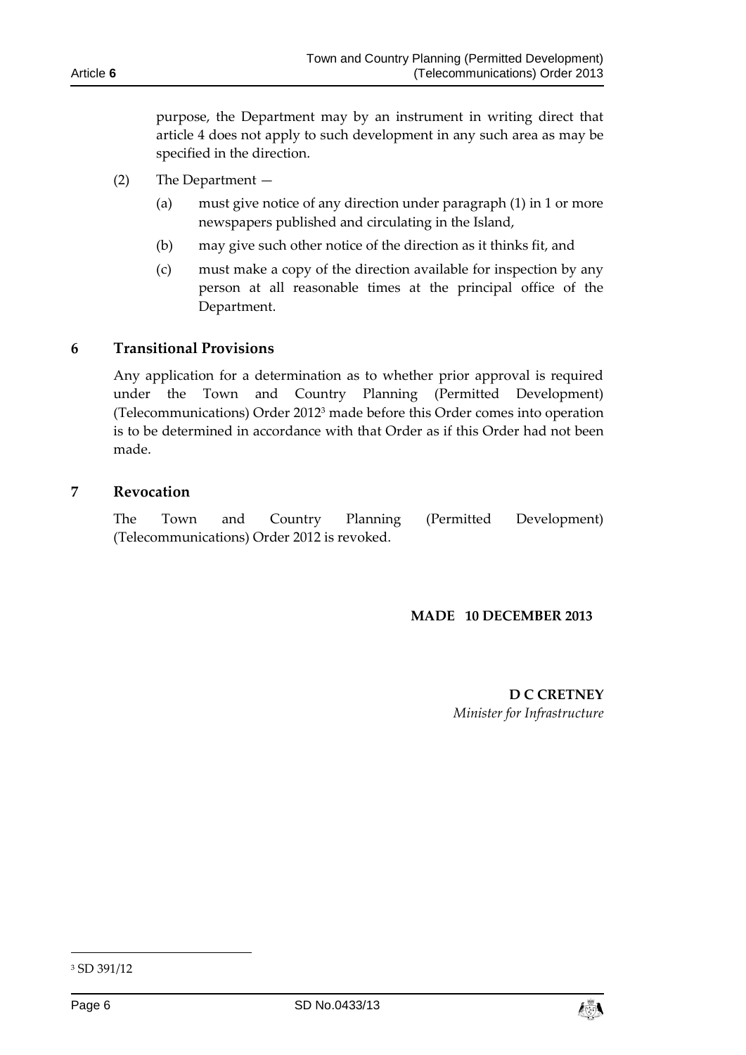Article **6**

purpose, the Department may by an instrument in writing direct that article 4 does not apply to such development in any such area as may be specified in the direction.

- (2) The Department
	- (a) must give notice of any direction under paragraph (1) in 1 or more newspapers published and circulating in the Island,
	- (b) may give such other notice of the direction as it thinks fit, and
	- (c) must make a copy of the direction available for inspection by any person at all reasonable times at the principal office of the Department.

#### <span id="page-5-0"></span>**6 Transitional Provisions**

Any application for a determination as to whether prior approval is required under the Town and Country Planning (Permitted Development) (Telecommunications) Order 2012<sup>3</sup> made before this Order comes into operation is to be determined in accordance with that Order as if this Order had not been made.

#### <span id="page-5-1"></span>**7 Revocation**

The Town and Country Planning (Permitted Development) (Telecommunications) Order 2012 is revoked.

#### **MADE 10 DECEMBER 2013**

**D C CRETNEY** *Minister for Infrastructure*

-



<sup>3</sup> SD 391/12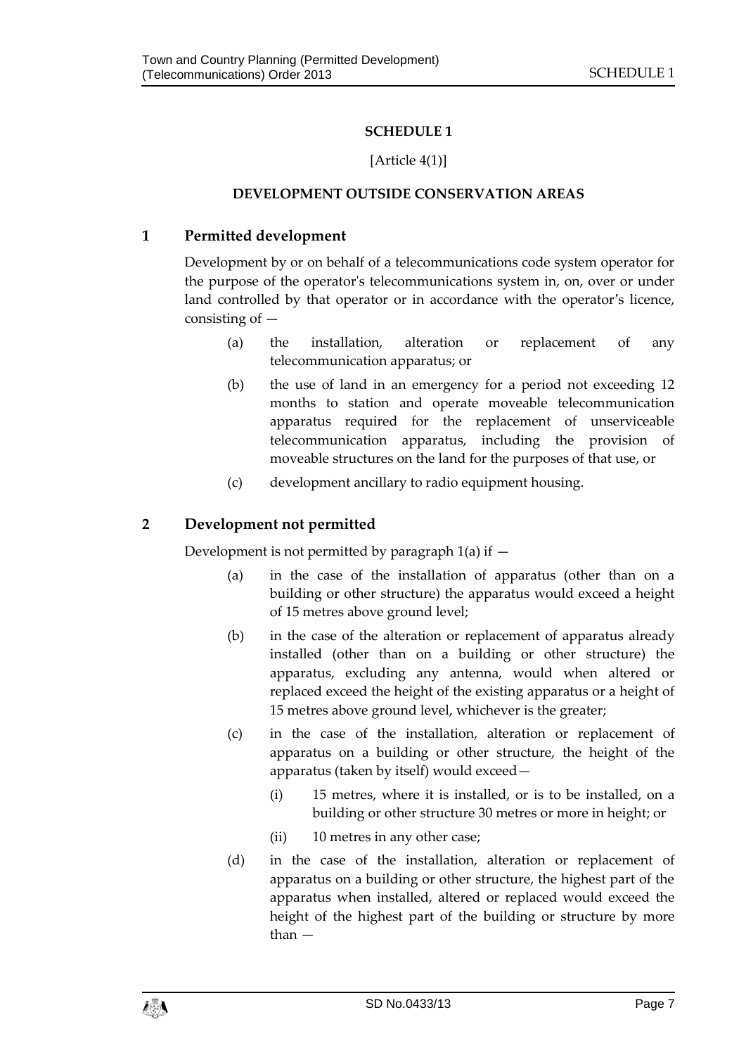## **SCHEDULE 1**

## [Article 4(1)]

## **DEVELOPMENT OUTSIDE CONSERVATION AREAS**

# <span id="page-6-1"></span><span id="page-6-0"></span>**1 Permitted development**

Development by or on behalf of a telecommunications code system operator for the purpose of the operator's telecommunications system in, on, over or under land controlled by that operator or in accordance with the operator's licence, consisting of  $-$ 

- (a) the installation, alteration or replacement of any telecommunication apparatus; or
- (b) the use of land in an emergency for a period not exceeding 12 months to station and operate moveable telecommunication apparatus required for the replacement of unserviceable telecommunication apparatus, including the provision of moveable structures on the land for the purposes of that use, or
- (c) development ancillary to radio equipment housing.

# **2 Development not permitted**

Development is not permitted by paragraph  $1(a)$  if  $-$ 

- (a) in the case of the installation of apparatus (other than on a building or other structure) the apparatus would exceed a height of 15 metres above ground level;
- (b) in the case of the alteration or replacement of apparatus already installed (other than on a building or other structure) the apparatus, excluding any antenna, would when altered or replaced exceed the height of the existing apparatus or a height of 15 metres above ground level, whichever is the greater;
- (c) in the case of the installation, alteration or replacement of apparatus on a building or other structure, the height of the apparatus (taken by itself) would exceed—
	- (i) 15 metres, where it is installed, or is to be installed, on a building or other structure 30 metres or more in height; or
	- (ii) 10 metres in any other case;
- (d) in the case of the installation, alteration or replacement of apparatus on a building or other structure, the highest part of the apparatus when installed, altered or replaced would exceed the height of the highest part of the building or structure by more than —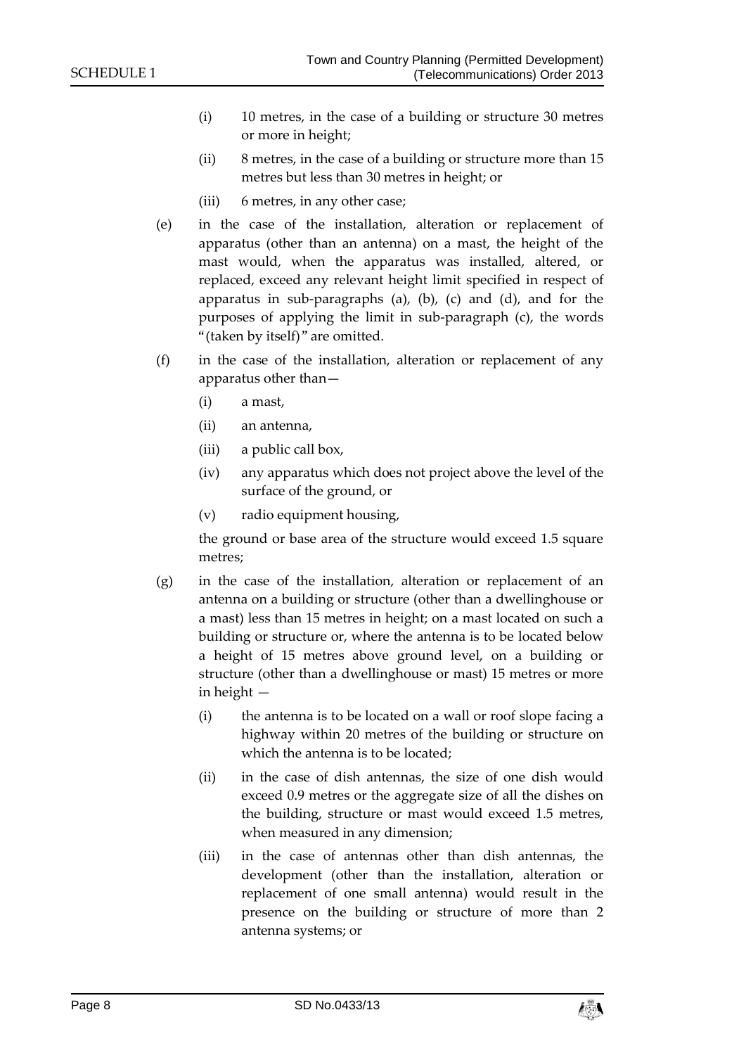- (i) 10 metres, in the case of a building or structure 30 metres or more in height;
- (ii) 8 metres, in the case of a building or structure more than 15 metres but less than 30 metres in height; or
- (iii) 6 metres, in any other case;
- (e) in the case of the installation, alteration or replacement of apparatus (other than an antenna) on a mast, the height of the mast would, when the apparatus was installed, altered, or replaced, exceed any relevant height limit specified in respect of apparatus in sub-paragraphs (a), (b), (c) and (d), and for the purposes of applying the limit in sub-paragraph (c), the words "(taken by itself)" are omitted.
- (f) in the case of the installation, alteration or replacement of any apparatus other than—
	- (i) a mast,
	- (ii) an antenna,
	- (iii) a public call box,
	- (iv) any apparatus which does not project above the level of the surface of the ground, or
	- (v) radio equipment housing,

the ground or base area of the structure would exceed 1.5 square metres;

- (g) in the case of the installation, alteration or replacement of an antenna on a building or structure (other than a dwellinghouse or a mast) less than 15 metres in height; on a mast located on such a building or structure or, where the antenna is to be located below a height of 15 metres above ground level, on a building or structure (other than a dwellinghouse or mast) 15 metres or more in height —
	- (i) the antenna is to be located on a wall or roof slope facing a highway within 20 metres of the building or structure on which the antenna is to be located;
	- (ii) in the case of dish antennas, the size of one dish would exceed 0.9 metres or the aggregate size of all the dishes on the building, structure or mast would exceed 1.5 metres, when measured in any dimension;
	- (iii) in the case of antennas other than dish antennas, the development (other than the installation, alteration or replacement of one small antenna) would result in the presence on the building or structure of more than 2 antenna systems; or

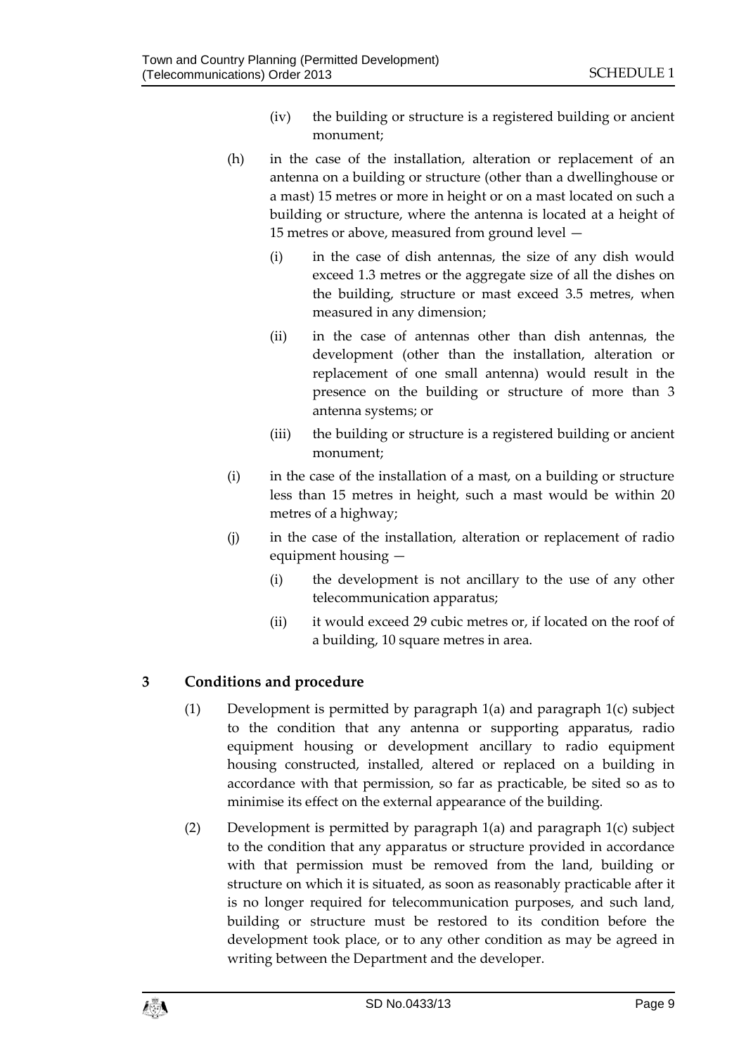- (iv) the building or structure is a registered building or ancient monument;
- (h) in the case of the installation, alteration or replacement of an antenna on a building or structure (other than a dwellinghouse or a mast) 15 metres or more in height or on a mast located on such a building or structure, where the antenna is located at a height of 15 metres or above, measured from ground level —
	- (i) in the case of dish antennas, the size of any dish would exceed 1.3 metres or the aggregate size of all the dishes on the building, structure or mast exceed 3.5 metres, when measured in any dimension;
	- (ii) in the case of antennas other than dish antennas, the development (other than the installation, alteration or replacement of one small antenna) would result in the presence on the building or structure of more than 3 antenna systems; or
	- (iii) the building or structure is a registered building or ancient monument;
- (i) in the case of the installation of a mast, on a building or structure less than 15 metres in height, such a mast would be within 20 metres of a highway;
- (j) in the case of the installation, alteration or replacement of radio equipment housing —
	- (i) the development is not ancillary to the use of any other telecommunication apparatus;
	- (ii) it would exceed 29 cubic metres or, if located on the roof of a building, 10 square metres in area.

## **3 Conditions and procedure**

- (1) Development is permitted by paragraph 1(a) and paragraph 1(c) subject to the condition that any antenna or supporting apparatus, radio equipment housing or development ancillary to radio equipment housing constructed, installed, altered or replaced on a building in accordance with that permission, so far as practicable, be sited so as to minimise its effect on the external appearance of the building.
- (2) Development is permitted by paragraph 1(a) and paragraph 1(c) subject to the condition that any apparatus or structure provided in accordance with that permission must be removed from the land, building or structure on which it is situated, as soon as reasonably practicable after it is no longer required for telecommunication purposes, and such land, building or structure must be restored to its condition before the development took place, or to any other condition as may be agreed in writing between the Department and the developer.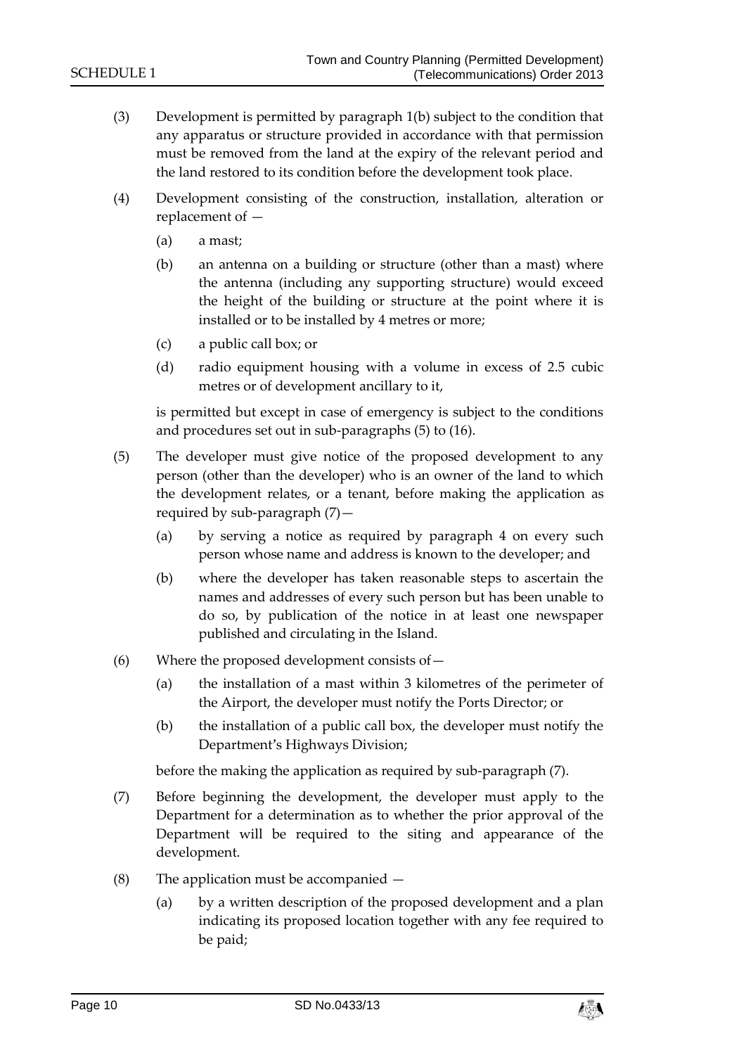- (3) Development is permitted by paragraph 1(b) subject to the condition that any apparatus or structure provided in accordance with that permission must be removed from the land at the expiry of the relevant period and the land restored to its condition before the development took place.
- (4) Development consisting of the construction, installation, alteration or replacement of —
	- (a) a mast;
	- (b) an antenna on a building or structure (other than a mast) where the antenna (including any supporting structure) would exceed the height of the building or structure at the point where it is installed or to be installed by 4 metres or more;
	- (c) a public call box; or
	- (d) radio equipment housing with a volume in excess of 2.5 cubic metres or of development ancillary to it,

is permitted but except in case of emergency is subject to the conditions and procedures set out in sub-paragraphs (5) to (16).

- (5) The developer must give notice of the proposed development to any person (other than the developer) who is an owner of the land to which the development relates, or a tenant, before making the application as required by sub-paragraph (7)—
	- (a) by serving a notice as required by paragraph 4 on every such person whose name and address is known to the developer; and
	- (b) where the developer has taken reasonable steps to ascertain the names and addresses of every such person but has been unable to do so, by publication of the notice in at least one newspaper published and circulating in the Island.
- $(6)$  Where the proposed development consists of  $-$ 
	- (a) the installation of a mast within 3 kilometres of the perimeter of the Airport, the developer must notify the Ports Director; or
	- (b) the installation of a public call box, the developer must notify the Department's Highways Division;

before the making the application as required by sub-paragraph (7).

- (7) Before beginning the development, the developer must apply to the Department for a determination as to whether the prior approval of the Department will be required to the siting and appearance of the development.
- (8) The application must be accompanied
	- (a) by a written description of the proposed development and a plan indicating its proposed location together with any fee required to be paid;

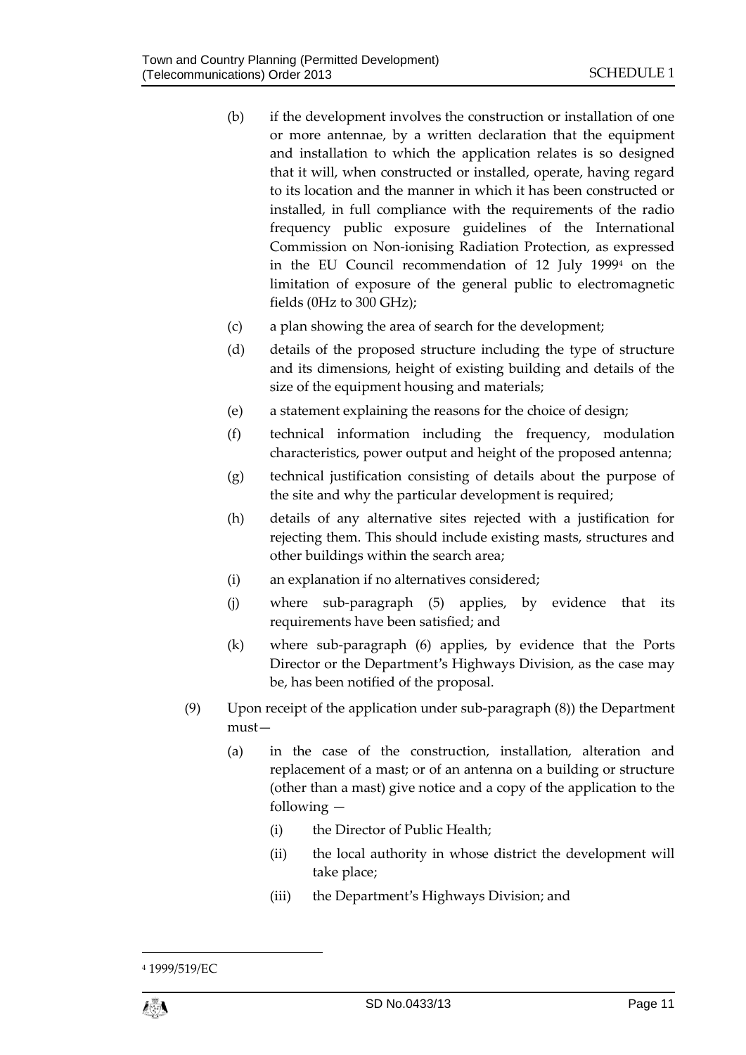- (b) if the development involves the construction or installation of one or more antennae, by a written declaration that the equipment and installation to which the application relates is so designed that it will, when constructed or installed, operate, having regard to its location and the manner in which it has been constructed or installed, in full compliance with the requirements of the radio frequency public exposure guidelines of the International Commission on Non-ionising Radiation Protection, as expressed in the EU Council recommendation of 12 July 1999<sup>4</sup> on the limitation of exposure of the general public to electromagnetic fields (0Hz to 300 GHz);
- (c) a plan showing the area of search for the development;
- (d) details of the proposed structure including the type of structure and its dimensions, height of existing building and details of the size of the equipment housing and materials;
- (e) a statement explaining the reasons for the choice of design;
- (f) technical information including the frequency, modulation characteristics, power output and height of the proposed antenna;
- (g) technical justification consisting of details about the purpose of the site and why the particular development is required;
- (h) details of any alternative sites rejected with a justification for rejecting them. This should include existing masts, structures and other buildings within the search area;
- (i) an explanation if no alternatives considered;
- (j) where sub-paragraph (5) applies, by evidence that its requirements have been satisfied; and
- (k) where sub-paragraph (6) applies, by evidence that the Ports Director or the Department's Highways Division, as the case may be, has been notified of the proposal.
- (9) Upon receipt of the application under sub-paragraph (8)) the Department must—
	- (a) in the case of the construction, installation, alteration and replacement of a mast; or of an antenna on a building or structure (other than a mast) give notice and a copy of the application to the following —
		- (i) the Director of Public Health;
		- (ii) the local authority in whose district the development will take place;
		- (iii) the Department's Highways Division; and

1

<sup>4</sup> 1999/519/EC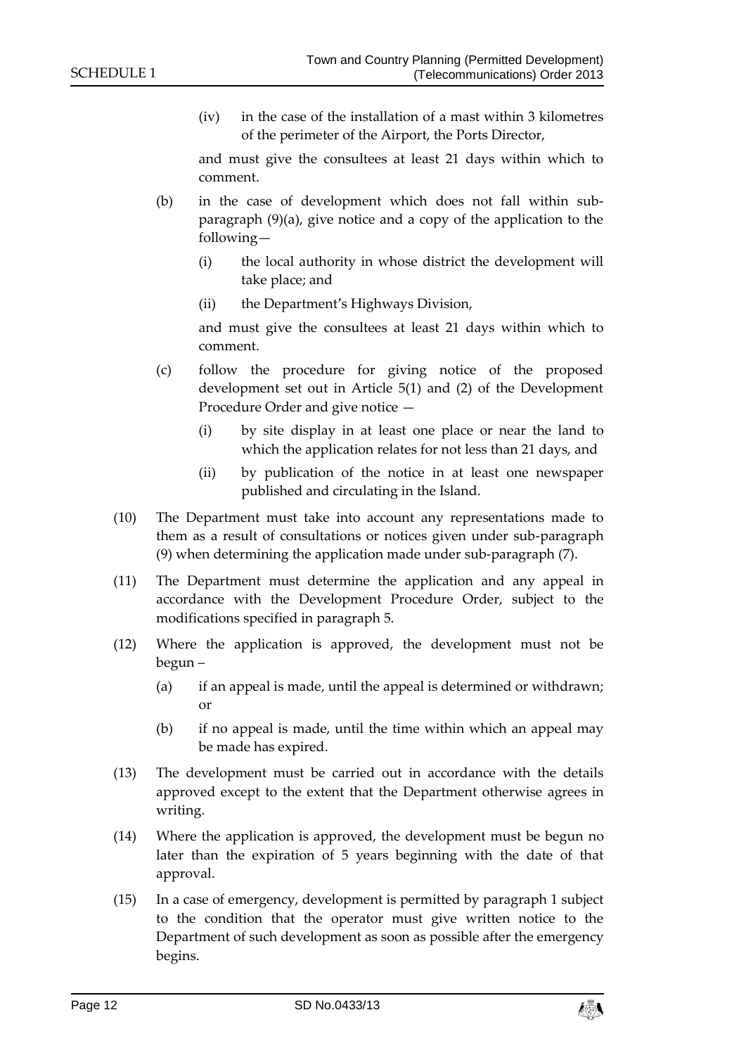(iv) in the case of the installation of a mast within 3 kilometres of the perimeter of the Airport, the Ports Director,

and must give the consultees at least 21 days within which to comment.

- (b) in the case of development which does not fall within subparagraph (9)(a), give notice and a copy of the application to the following—
	- (i) the local authority in whose district the development will take place; and
	- (ii) the Department's Highways Division,

and must give the consultees at least 21 days within which to comment.

- (c) follow the procedure for giving notice of the proposed development set out in Article 5(1) and (2) of the Development Procedure Order and give notice —
	- (i) by site display in at least one place or near the land to which the application relates for not less than 21 days, and
	- (ii) by publication of the notice in at least one newspaper published and circulating in the Island.
- (10) The Department must take into account any representations made to them as a result of consultations or notices given under sub-paragraph (9) when determining the application made under sub-paragraph (7).
- (11) The Department must determine the application and any appeal in accordance with the Development Procedure Order, subject to the modifications specified in paragraph 5.
- (12) Where the application is approved, the development must not be begun –
	- (a) if an appeal is made, until the appeal is determined or withdrawn; or
	- (b) if no appeal is made, until the time within which an appeal may be made has expired.
- (13) The development must be carried out in accordance with the details approved except to the extent that the Department otherwise agrees in writing.
- (14) Where the application is approved, the development must be begun no later than the expiration of 5 years beginning with the date of that approval.
- (15) In a case of emergency, development is permitted by paragraph 1 subject to the condition that the operator must give written notice to the Department of such development as soon as possible after the emergency begins.

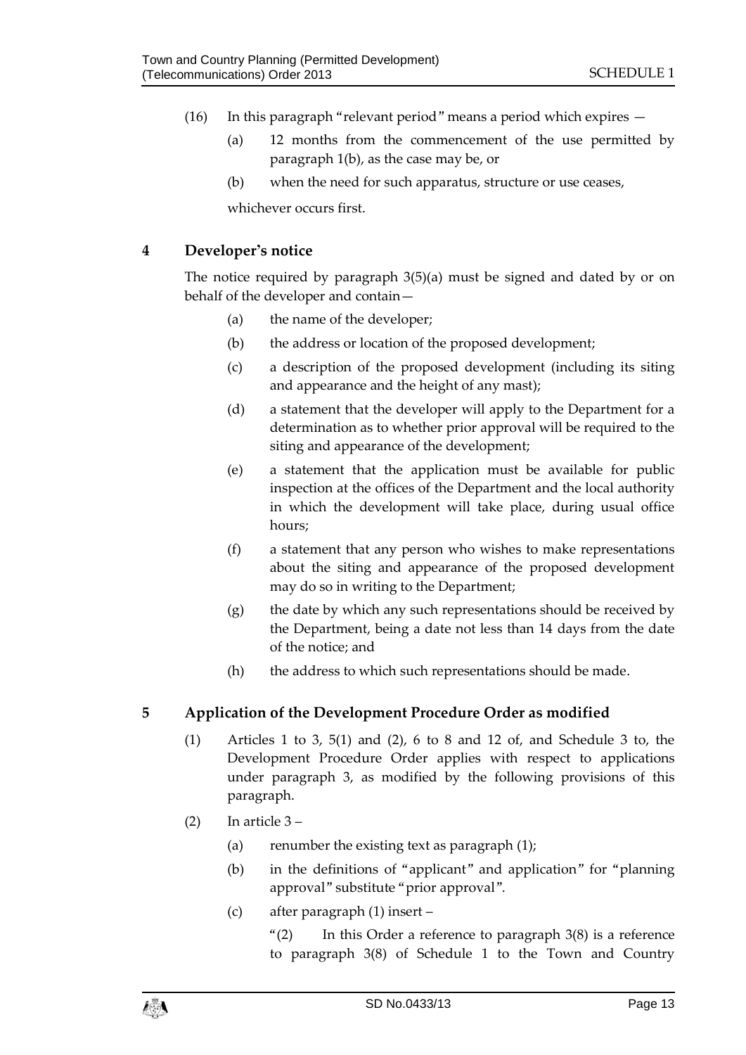- (16) In this paragraph "relevant period" means a period which expires
	- (a) 12 months from the commencement of the use permitted by paragraph 1(b), as the case may be, or
	- (b) when the need for such apparatus, structure or use ceases,

whichever occurs first.

#### **4 Developer's notice**

The notice required by paragraph 3(5)(a) must be signed and dated by or on behalf of the developer and contain—

- (a) the name of the developer;
- (b) the address or location of the proposed development;
- (c) a description of the proposed development (including its siting and appearance and the height of any mast);
- (d) a statement that the developer will apply to the Department for a determination as to whether prior approval will be required to the siting and appearance of the development;
- (e) a statement that the application must be available for public inspection at the offices of the Department and the local authority in which the development will take place, during usual office hours;
- (f) a statement that any person who wishes to make representations about the siting and appearance of the proposed development may do so in writing to the Department;
- $(g)$  the date by which any such representations should be received by the Department, being a date not less than 14 days from the date of the notice; and
- (h) the address to which such representations should be made.

## **5 Application of the Development Procedure Order as modified**

- (1) Articles 1 to 3, 5(1) and (2), 6 to 8 and 12 of, and Schedule 3 to, the Development Procedure Order applies with respect to applications under paragraph 3, as modified by the following provisions of this paragraph.
- $(2)$  In article  $3-$ 
	- (a) renumber the existing text as paragraph  $(1)$ ;
	- (b) in the definitions of "applicant" and application" for "planning approval" substitute "prior approval".
	- (c) after paragraph (1) insert –

" $(2)$  In this Order a reference to paragraph  $3(8)$  is a reference to paragraph 3(8) of Schedule 1 to the Town and Country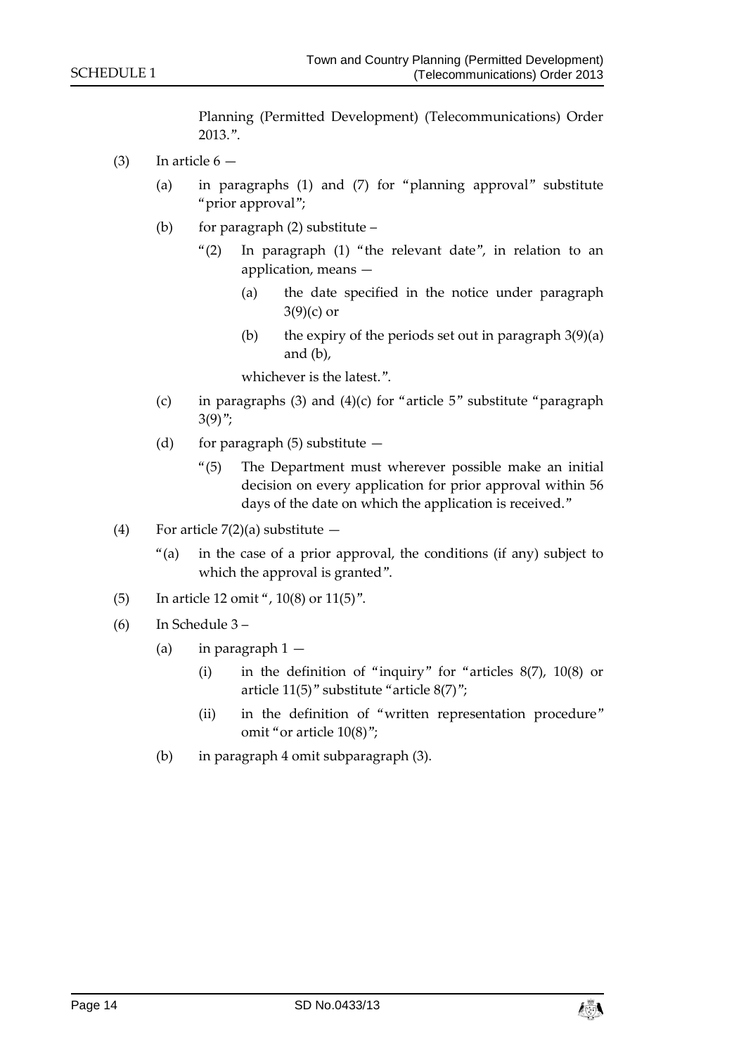Planning (Permitted Development) (Telecommunications) Order 2013.".

- (3) In article  $6 -$ 
	- (a) in paragraphs (1) and (7) for "planning approval" substitute "prior approval";
	- (b) for paragraph  $(2)$  substitute
		- "(2) In paragraph (1) "the relevant date", in relation to an application, means —
			- (a) the date specified in the notice under paragraph  $3(9)(c)$  or
			- (b) the expiry of the periods set out in paragraph  $3(9)(a)$ and (b),

whichever is the latest.".

- (c) in paragraphs (3) and (4)(c) for "article  $5$ " substitute "paragraph  $3(9)$ ":
- (d) for paragraph  $(5)$  substitute  $-$ 
	- "(5) The Department must wherever possible make an initial decision on every application for prior approval within 56 days of the date on which the application is received."
- (4) For article  $7(2)(a)$  substitute  $-$ 
	- "(a) in the case of a prior approval, the conditions (if any) subject to which the approval is granted".
- (5) In article 12 omit ", 10(8) or 11(5)".
- (6) In Schedule 3
	- (a) in paragraph  $1 -$ 
		- (i) in the definition of "inquiry" for "articles 8(7), 10(8) or article 11(5)" substitute "article 8(7)";
		- (ii) in the definition of "written representation procedure" omit "or article 10(8)";
	- (b) in paragraph 4 omit subparagraph (3).

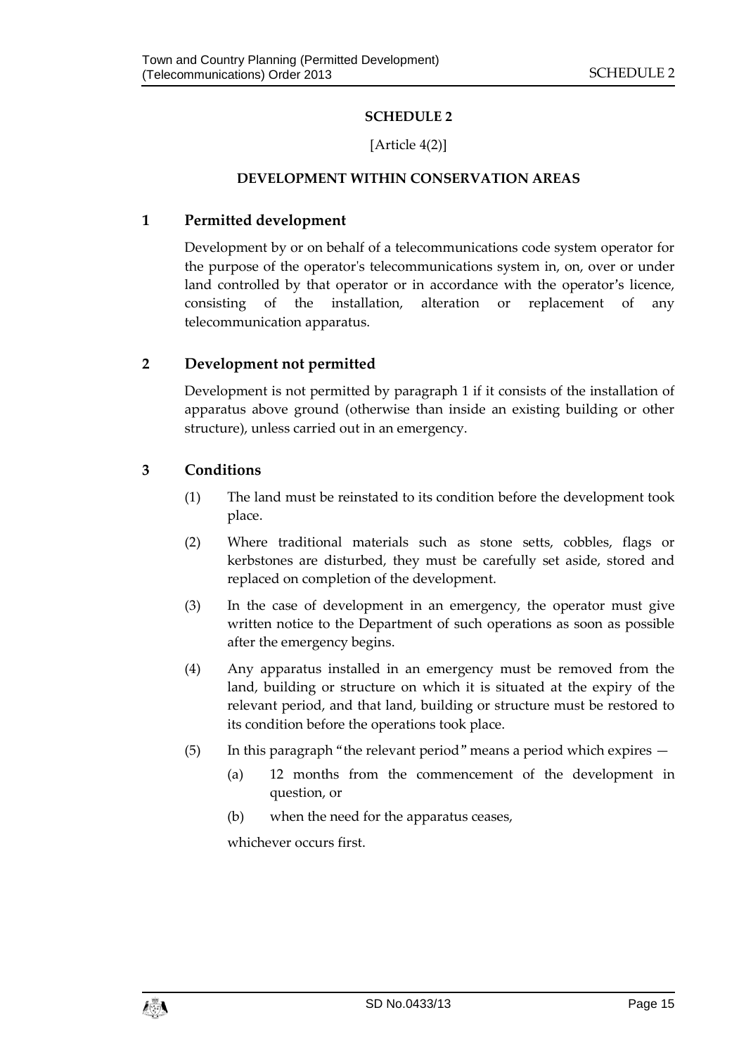# **SCHEDULE 2**

# [Article 4(2)]

#### **DEVELOPMENT WITHIN CONSERVATION AREAS**

#### <span id="page-14-1"></span><span id="page-14-0"></span>**1 Permitted development**

Development by or on behalf of a telecommunications code system operator for the purpose of the operator's telecommunications system in, on, over or under land controlled by that operator or in accordance with the operator's licence, consisting of the installation, alteration or replacement of any telecommunication apparatus.

## **2 Development not permitted**

Development is not permitted by paragraph 1 if it consists of the installation of apparatus above ground (otherwise than inside an existing building or other structure), unless carried out in an emergency.

## **3 Conditions**

- (1) The land must be reinstated to its condition before the development took place.
- (2) Where traditional materials such as stone setts, cobbles, flags or kerbstones are disturbed, they must be carefully set aside, stored and replaced on completion of the development.
- (3) In the case of development in an emergency, the operator must give written notice to the Department of such operations as soon as possible after the emergency begins.
- (4) Any apparatus installed in an emergency must be removed from the land, building or structure on which it is situated at the expiry of the relevant period, and that land, building or structure must be restored to its condition before the operations took place.
- (5) In this paragraph "the relevant period" means a period which expires
	- (a) 12 months from the commencement of the development in question, or
	- (b) when the need for the apparatus ceases,

whichever occurs first.